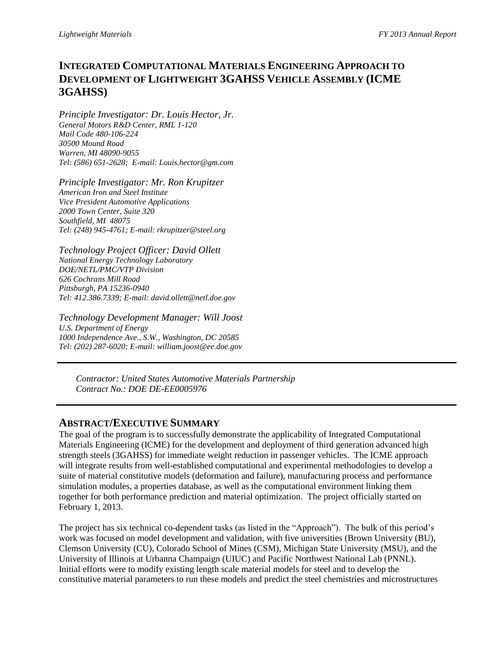# **INTEGRATED COMPUTATIONAL MATERIALS ENGINEERING APPROACH TO DEVELOPMENT OF LIGHTWEIGHT 3GAHSS VEHICLE ASSEMBLY (ICME 3GAHSS)**

*Principle Investigator: Dr. Louis Hector, Jr. General Motors R&D Center, RML 1-120 Mail Code 480-106-224 30500 Mound Road Warren, MI 48090-9055 Tel: (586) 651-2628; E-mail: Louis.hector@gm.com*

*Principle Investigator: Mr. Ron Krupitzer American Iron and Steel Institute Vice President Automotive Applications 2000 Town Center, Suite 320 Southfield, MI 48075 Tel: (248) 945-4761; E-mail: rkrupitzer@steel.org*

*Technology Project Officer: David Ollett National Energy Technology Laboratory DOE/NETL/PMC/VTP Division 626 Cochrans Mill Road Pittsburgh, PA 15236-0940 Tel: 412.386.7339; E-mail: david.ollett@netl.doe.gov*

*Technology Development Manager: Will Joost U.S. Department of Energy 1000 Independence Ave., S.W., Washington, DC 20585 Tel: (202) 287-6020; E-mail: william.joost@ee.doe.gov*

*Contractor: United States Automotive Materials Partnership Contract No.: DOE DE-EE0005976*

# **ABSTRACT/EXECUTIVE SUMMARY**

The goal of the program is to successfully demonstrate the applicability of Integrated Computational Materials Engineering (ICME) for the development and deployment of third generation advanced high strength steels (3GAHSS) for immediate weight reduction in passenger vehicles. The ICME approach will integrate results from well-established computational and experimental methodologies to develop a suite of material constitutive models (deformation and failure), manufacturing process and performance simulation modules, a properties database, as well as the computational environment linking them together for both performance prediction and material optimization. The project officially started on February 1, 2013.

The project has six technical co-dependent tasks (as listed in the "Approach"). The bulk of this period's work was focused on model development and validation, with five universities (Brown University (BU), Clemson University (CU), Colorado School of Mines (CSM), Michigan State University (MSU), and the University of Illinois at Urbanna Champaign (UIUC) and Pacific Northwest National Lab (PNNL). Initial efforts were to modify existing length scale material models for steel and to develop the constitutive material parameters to run these models and predict the steel chemistries and microstructures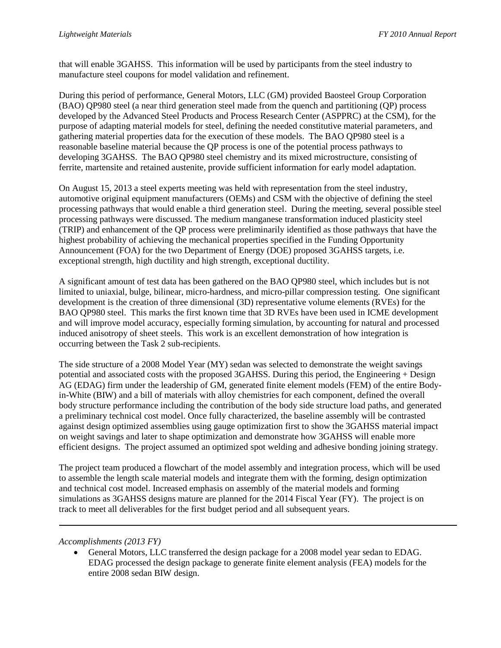that will enable 3GAHSS. This information will be used by participants from the steel industry to manufacture steel coupons for model validation and refinement.

During this period of performance, General Motors, LLC (GM) provided Baosteel Group Corporation (BAO) QP980 steel (a near third generation steel made from the quench and partitioning (QP) process developed by the Advanced Steel Products and Process Research Center (ASPPRC) at the CSM), for the purpose of adapting material models for steel, defining the needed constitutive material parameters, and gathering material properties data for the execution of these models. The BAO QP980 steel is a reasonable baseline material because the QP process is one of the potential process pathways to developing 3GAHSS. The BAO QP980 steel chemistry and its mixed microstructure, consisting of ferrite, martensite and retained austenite, provide sufficient information for early model adaptation.

On August 15, 2013 a steel experts meeting was held with representation from the steel industry, automotive original equipment manufacturers (OEMs) and CSM with the objective of defining the steel processing pathways that would enable a third generation steel. During the meeting, several possible steel processing pathways were discussed. The medium manganese transformation induced plasticity steel (TRIP) and enhancement of the QP process were preliminarily identified as those pathways that have the highest probability of achieving the mechanical properties specified in the Funding Opportunity Announcement (FOA) for the two Department of Energy (DOE) proposed 3GAHSS targets, i.e. exceptional strength, high ductility and high strength, exceptional ductility.

A significant amount of test data has been gathered on the BAO QP980 steel, which includes but is not limited to uniaxial, bulge, bilinear, micro-hardness, and micro-pillar compression testing. One significant development is the creation of three dimensional (3D) representative volume elements (RVEs) for the BAO QP980 steel. This marks the first known time that 3D RVEs have been used in ICME development and will improve model accuracy, especially forming simulation, by accounting for natural and processed induced anisotropy of sheet steels. This work is an excellent demonstration of how integration is occurring between the Task 2 sub-recipients.

The side structure of a 2008 Model Year (MY) sedan was selected to demonstrate the weight savings potential and associated costs with the proposed 3GAHSS. During this period, the Engineering + Design AG (EDAG) firm under the leadership of GM, generated finite element models (FEM) of the entire Bodyin-White (BIW) and a bill of materials with alloy chemistries for each component, defined the overall body structure performance including the contribution of the body side structure load paths, and generated a preliminary technical cost model. Once fully characterized, the baseline assembly will be contrasted against design optimized assemblies using gauge optimization first to show the 3GAHSS material impact on weight savings and later to shape optimization and demonstrate how 3GAHSS will enable more efficient designs. The project assumed an optimized spot welding and adhesive bonding joining strategy.

The project team produced a flowchart of the model assembly and integration process, which will be used to assemble the length scale material models and integrate them with the forming, design optimization and technical cost model. Increased emphasis on assembly of the material models and forming simulations as 3GAHSS designs mature are planned for the 2014 Fiscal Year (FY). The project is on track to meet all deliverables for the first budget period and all subsequent years.

## *Accomplishments (2013 FY)*

 General Motors, LLC transferred the design package for a 2008 model year sedan to EDAG. EDAG processed the design package to generate finite element analysis (FEA) models for the entire 2008 sedan BIW design.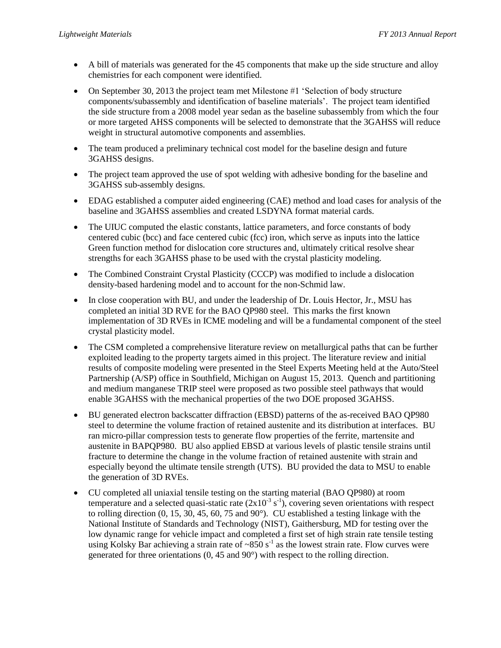- A bill of materials was generated for the 45 components that make up the side structure and alloy chemistries for each component were identified.
- On September 30, 2013 the project team met Milestone #1 'Selection of body structure components/subassembly and identification of baseline materials'. The project team identified the side structure from a 2008 model year sedan as the baseline subassembly from which the four or more targeted AHSS components will be selected to demonstrate that the 3GAHSS will reduce weight in structural automotive components and assemblies.
- The team produced a preliminary technical cost model for the baseline design and future 3GAHSS designs.
- The project team approved the use of spot welding with adhesive bonding for the baseline and 3GAHSS sub-assembly designs.
- EDAG established a computer aided engineering (CAE) method and load cases for analysis of the baseline and 3GAHSS assemblies and created LSDYNA format material cards.
- The UIUC computed the elastic constants, lattice parameters, and force constants of body centered cubic (bcc) and face centered cubic (fcc) iron, which serve as inputs into the lattice Green function method for dislocation core structures and, ultimately critical resolve shear strengths for each 3GAHSS phase to be used with the crystal plasticity modeling.
- The Combined Constraint Crystal Plasticity (CCCP) was modified to include a dislocation density-based hardening model and to account for the non-Schmid law.
- In close cooperation with BU, and under the leadership of Dr. Louis Hector, Jr., MSU has completed an initial 3D RVE for the BAO QP980 steel. This marks the first known implementation of 3D RVEs in ICME modeling and will be a fundamental component of the steel crystal plasticity model.
- The CSM completed a comprehensive literature review on metallurgical paths that can be further exploited leading to the property targets aimed in this project. The literature review and initial results of composite modeling were presented in the Steel Experts Meeting held at the Auto/Steel Partnership (A/SP) office in Southfield, Michigan on August 15, 2013. Quench and partitioning and medium manganese TRIP steel were proposed as two possible steel pathways that would enable 3GAHSS with the mechanical properties of the two DOE proposed 3GAHSS.
- BU generated electron backscatter diffraction (EBSD) patterns of the as-received BAO QP980 steel to determine the volume fraction of retained austenite and its distribution at interfaces. BU ran micro-pillar compression tests to generate flow properties of the ferrite, martensite and austenite in BAPQP980. BU also applied EBSD at various levels of plastic tensile strains until fracture to determine the change in the volume fraction of retained austenite with strain and especially beyond the ultimate tensile strength (UTS). BU provided the data to MSU to enable the generation of 3D RVEs.
- CU completed all uniaxial tensile testing on the starting material (BAO QP980) at room temperature and a selected quasi-static rate  $(2x10^{-3} s^{-1})$ , covering seven orientations with respect to rolling direction (0, 15, 30, 45, 60, 75 and 90°). CU established a testing linkage with the National Institute of Standards and Technology (NIST), Gaithersburg, MD for testing over the low dynamic range for vehicle impact and completed a first set of high strain rate tensile testing using Kolsky Bar achieving a strain rate of  $\sim 850$  s<sup>-1</sup> as the lowest strain rate. Flow curves were generated for three orientations (0, 45 and 90°) with respect to the rolling direction.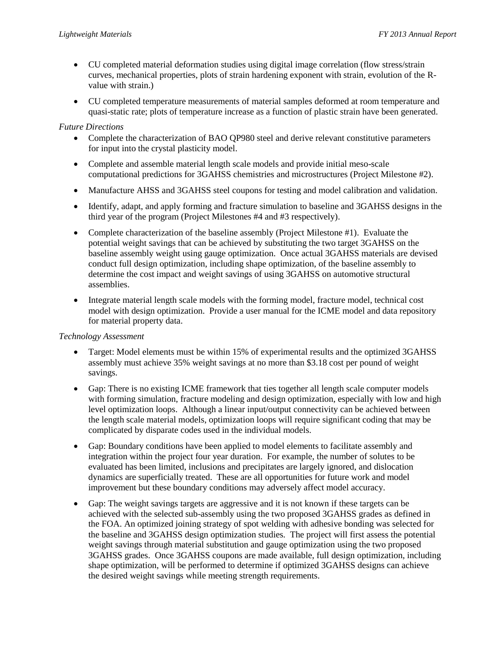- CU completed material deformation studies using digital image correlation (flow stress/strain curves, mechanical properties, plots of strain hardening exponent with strain, evolution of the Rvalue with strain.)
- CU completed temperature measurements of material samples deformed at room temperature and quasi-static rate; plots of temperature increase as a function of plastic strain have been generated.

# *Future Directions*

- Complete the characterization of BAO QP980 steel and derive relevant constitutive parameters for input into the crystal plasticity model.
- Complete and assemble material length scale models and provide initial meso-scale computational predictions for 3GAHSS chemistries and microstructures (Project Milestone #2).
- Manufacture AHSS and 3GAHSS steel coupons for testing and model calibration and validation.
- Identify, adapt, and apply forming and fracture simulation to baseline and 3GAHSS designs in the third year of the program (Project Milestones #4 and #3 respectively).
- Complete characterization of the baseline assembly (Project Milestone #1). Evaluate the potential weight savings that can be achieved by substituting the two target 3GAHSS on the baseline assembly weight using gauge optimization. Once actual 3GAHSS materials are devised conduct full design optimization, including shape optimization, of the baseline assembly to determine the cost impact and weight savings of using 3GAHSS on automotive structural assemblies.
- Integrate material length scale models with the forming model, fracture model, technical cost model with design optimization. Provide a user manual for the ICME model and data repository for material property data.

## *Technology Assessment*

- Target: Model elements must be within 15% of experimental results and the optimized 3GAHSS assembly must achieve 35% weight savings at no more than \$3.18 cost per pound of weight savings.
- Gap: There is no existing ICME framework that ties together all length scale computer models with forming simulation, fracture modeling and design optimization, especially with low and high level optimization loops. Although a linear input/output connectivity can be achieved between the length scale material models, optimization loops will require significant coding that may be complicated by disparate codes used in the individual models.
- Gap: Boundary conditions have been applied to model elements to facilitate assembly and integration within the project four year duration. For example, the number of solutes to be evaluated has been limited, inclusions and precipitates are largely ignored, and dislocation dynamics are superficially treated. These are all opportunities for future work and model improvement but these boundary conditions may adversely affect model accuracy.
- Gap: The weight savings targets are aggressive and it is not known if these targets can be achieved with the selected sub-assembly using the two proposed 3GAHSS grades as defined in the FOA. An optimized joining strategy of spot welding with adhesive bonding was selected for the baseline and 3GAHSS design optimization studies. The project will first assess the potential weight savings through material substitution and gauge optimization using the two proposed 3GAHSS grades. Once 3GAHSS coupons are made available, full design optimization, including shape optimization, will be performed to determine if optimized 3GAHSS designs can achieve the desired weight savings while meeting strength requirements.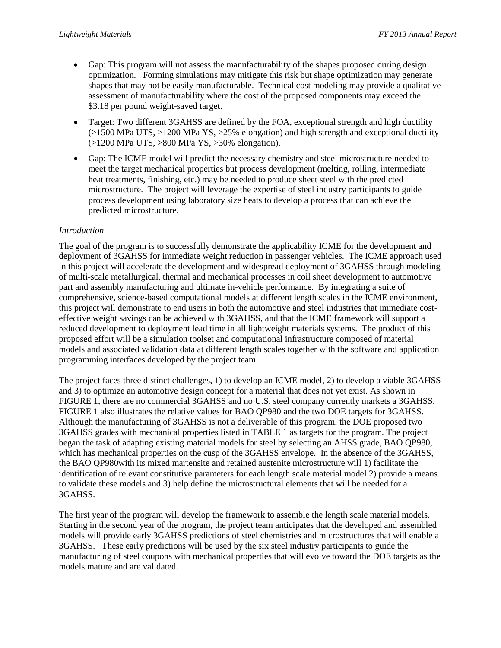- Gap: This program will not assess the manufacturability of the shapes proposed during design optimization. Forming simulations may mitigate this risk but shape optimization may generate shapes that may not be easily manufacturable. Technical cost modeling may provide a qualitative assessment of manufacturability where the cost of the proposed components may exceed the \$3.18 per pound weight-saved target.
- Target: Two different 3GAHSS are defined by the FOA, exceptional strength and high ductility  $(>1500$  MPa UTS,  $>1200$  MPa YS,  $>25%$  elongation) and high strength and exceptional ductility (>1200 MPa UTS, >800 MPa YS, >30% elongation).
- Gap: The ICME model will predict the necessary chemistry and steel microstructure needed to meet the target mechanical properties but process development (melting, rolling, intermediate heat treatments, finishing, etc.) may be needed to produce sheet steel with the predicted microstructure. The project will leverage the expertise of steel industry participants to guide process development using laboratory size heats to develop a process that can achieve the predicted microstructure.

# *Introduction*

The goal of the program is to successfully demonstrate the applicability ICME for the development and deployment of 3GAHSS for immediate weight reduction in passenger vehicles. The ICME approach used in this project will accelerate the development and widespread deployment of 3GAHSS through modeling of multi-scale metallurgical, thermal and mechanical processes in coil sheet development to automotive part and assembly manufacturing and ultimate in-vehicle performance. By integrating a suite of comprehensive, science-based computational models at different length scales in the ICME environment, this project will demonstrate to end users in both the automotive and steel industries that immediate costeffective weight savings can be achieved with 3GAHSS, and that the ICME framework will support a reduced development to deployment lead time in all lightweight materials systems. The product of this proposed effort will be a simulation toolset and computational infrastructure composed of material models and associated validation data at different length scales together with the software and application programming interfaces developed by the project team.

The project faces three distinct challenges, 1) to develop an ICME model, 2) to develop a viable 3GAHSS and 3) to optimize an automotive design concept for a material that does not yet exist. As shown in FIGURE 1, there are no commercial 3GAHSS and no U.S. steel company currently markets a 3GAHSS. FIGURE 1 also illustrates the relative values for BAO QP980 and the two DOE targets for 3GAHSS. Although the manufacturing of 3GAHSS is not a deliverable of this program, the DOE proposed two 3GAHSS grades with mechanical properties listed in TABLE 1 as targets for the program. The project began the task of adapting existing material models for steel by selecting an AHSS grade, BAO QP980, which has mechanical properties on the cusp of the 3GAHSS envelope. In the absence of the 3GAHSS, the BAO QP980with its mixed martensite and retained austenite microstructure will 1) facilitate the identification of relevant constitutive parameters for each length scale material model 2) provide a means to validate these models and 3) help define the microstructural elements that will be needed for a 3GAHSS.

The first year of the program will develop the framework to assemble the length scale material models. Starting in the second year of the program, the project team anticipates that the developed and assembled models will provide early 3GAHSS predictions of steel chemistries and microstructures that will enable a 3GAHSS. These early predictions will be used by the six steel industry participants to guide the manufacturing of steel coupons with mechanical properties that will evolve toward the DOE targets as the models mature and are validated.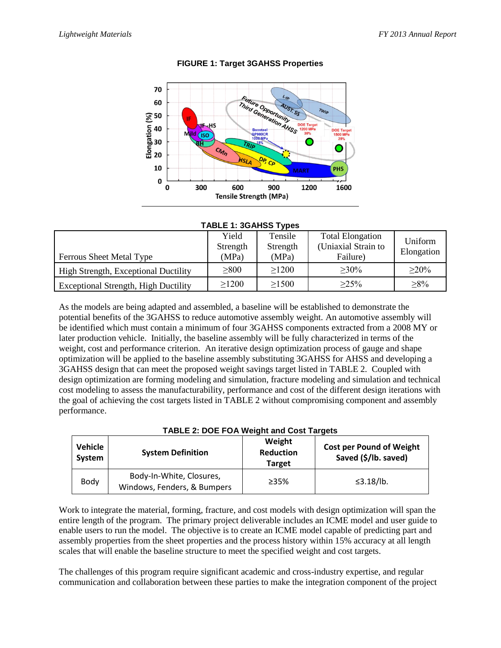

# **FIGURE 1: Target 3GAHSS Properties**

#### **TABLE 1: 3GAHSS Types**

| <b>Ferrous Sheet Metal Type</b>             | Yield<br>Strength<br>(MPa) | Tensile<br>Strength<br>(MPa) | <b>Total Elongation</b><br>(Uniaxial Strain to<br>Failure) | Uniform<br>Elongation |
|---------------------------------------------|----------------------------|------------------------------|------------------------------------------------------------|-----------------------|
| <b>High Strength, Exceptional Ductility</b> | $\geq 800$                 | >1200                        | $>30\%$                                                    | $>20\%$               |
| <b>Exceptional Strength, High Ductility</b> | >1200                      | >1500                        | $>25\%$                                                    | $>8\%$                |

As the models are being adapted and assembled, a baseline will be established to demonstrate the potential benefits of the 3GAHSS to reduce automotive assembly weight. An automotive assembly will be identified which must contain a minimum of four 3GAHSS components extracted from a 2008 MY or later production vehicle. Initially, the baseline assembly will be fully characterized in terms of the weight, cost and performance criterion. An iterative design optimization process of gauge and shape optimization will be applied to the baseline assembly substituting 3GAHSS for AHSS and developing a 3GAHSS design that can meet the proposed weight savings target listed in TABLE 2. Coupled with design optimization are forming modeling and simulation, fracture modeling and simulation and technical cost modeling to assess the manufacturability, performance and cost of the different design iterations with the goal of achieving the cost targets listed in TABLE 2 without compromising component and assembly performance.

| TADLL 2. DOL I OA WEIGHT AND COST TAIGETS |                                                         |                                             |                                                         |  |  |  |
|-------------------------------------------|---------------------------------------------------------|---------------------------------------------|---------------------------------------------------------|--|--|--|
| Vehicle<br>System                         | <b>System Definition</b>                                | Weight<br><b>Reduction</b><br><b>Target</b> | <b>Cost per Pound of Weight</b><br>Saved (\$/lb. saved) |  |  |  |
| Body                                      | Body-In-White, Closures,<br>Windows, Fenders, & Bumpers | >35%                                        | $\leq$ 3.18/lb.                                         |  |  |  |

## **TABLE 2: DOE FOA Weight and Cost Targets**

Work to integrate the material, forming, fracture, and cost models with design optimization will span the entire length of the program. The primary project deliverable includes an ICME model and user guide to enable users to run the model. The objective is to create an ICME model capable of predicting part and assembly properties from the sheet properties and the process history within 15% accuracy at all length scales that will enable the baseline structure to meet the specified weight and cost targets.

The challenges of this program require significant academic and cross-industry expertise, and regular communication and collaboration between these parties to make the integration component of the project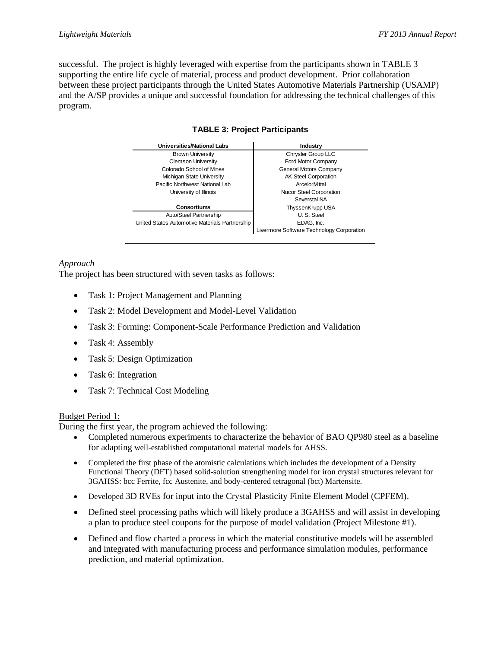successful. The project is highly leveraged with expertise from the participants shown in TABLE 3 supporting the entire life cycle of material, process and product development. Prior collaboration between these project participants through the United States Automotive Materials Partnership (USAMP) and the A/SP provides a unique and successful foundation for addressing the technical challenges of this program.

| Universities/National Labs                     | <b>Industry</b>                           |  |
|------------------------------------------------|-------------------------------------------|--|
| <b>Brown University</b>                        | Chrysler Group LLC                        |  |
| <b>Clemson University</b>                      | Ford Motor Company                        |  |
| Colorado School of Mines                       | General Motors Company                    |  |
| Michigan State University                      | <b>AK Steel Corporation</b>               |  |
| Pacific Northwest National Lab                 | ArcelorMittal                             |  |
| University of Illinois                         | <b>Nucor Steel Corporation</b>            |  |
|                                                | Severstal NA                              |  |
| <b>Consortiums</b>                             | ThyssenKrupp USA                          |  |
| Auto/Steel Partnership                         | U.S. Steel                                |  |
| United States Automotive Materials Partnership | EDAG. Inc.                                |  |
|                                                | Livermore Software Technology Corporation |  |

## **TABLE 3: Project Participants**

# *Approach*

The project has been structured with seven tasks as follows:

- Task 1: Project Management and Planning
- Task 2: Model Development and Model-Level Validation
- Task 3: Forming: Component-Scale Performance Prediction and Validation
- Task 4: Assembly
- Task 5: Design Optimization
- Task 6: Integration
- Task 7: Technical Cost Modeling

## Budget Period 1:

During the first year, the program achieved the following:

- Completed numerous experiments to characterize the behavior of BAO QP980 steel as a baseline for adapting well-established computational material models for AHSS.
- Completed the first phase of the atomistic calculations which includes the development of a Density Functional Theory (DFT) based solid-solution strengthening model for iron crystal structures relevant for 3GAHSS: bcc Ferrite, fcc Austenite, and body-centered tetragonal (bct) Martensite.
- Developed 3D RVEs for input into the Crystal Plasticity Finite Element Model (CPFEM).
- Defined steel processing paths which will likely produce a 3GAHSS and will assist in developing a plan to produce steel coupons for the purpose of model validation (Project Milestone #1).
- Defined and flow charted a process in which the material constitutive models will be assembled and integrated with manufacturing process and performance simulation modules, performance prediction, and material optimization.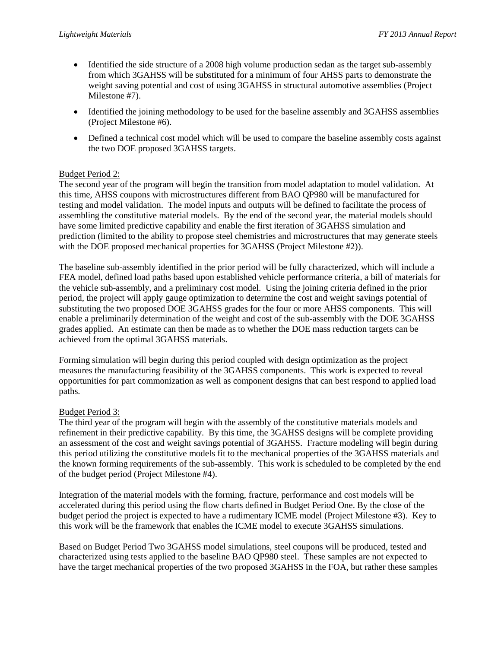- Identified the side structure of a 2008 high volume production sedan as the target sub-assembly from which 3GAHSS will be substituted for a minimum of four AHSS parts to demonstrate the weight saving potential and cost of using 3GAHSS in structural automotive assemblies (Project Milestone #7).
- Identified the joining methodology to be used for the baseline assembly and 3GAHSS assemblies (Project Milestone #6).
- Defined a technical cost model which will be used to compare the baseline assembly costs against the two DOE proposed 3GAHSS targets.

# Budget Period 2:

The second year of the program will begin the transition from model adaptation to model validation. At this time, AHSS coupons with microstructures different from BAO QP980 will be manufactured for testing and model validation. The model inputs and outputs will be defined to facilitate the process of assembling the constitutive material models. By the end of the second year, the material models should have some limited predictive capability and enable the first iteration of 3GAHSS simulation and prediction (limited to the ability to propose steel chemistries and microstructures that may generate steels with the DOE proposed mechanical properties for 3GAHSS (Project Milestone #2)).

The baseline sub-assembly identified in the prior period will be fully characterized, which will include a FEA model, defined load paths based upon established vehicle performance criteria, a bill of materials for the vehicle sub-assembly, and a preliminary cost model. Using the joining criteria defined in the prior period, the project will apply gauge optimization to determine the cost and weight savings potential of substituting the two proposed DOE 3GAHSS grades for the four or more AHSS components. This will enable a preliminarily determination of the weight and cost of the sub-assembly with the DOE 3GAHSS grades applied. An estimate can then be made as to whether the DOE mass reduction targets can be achieved from the optimal 3GAHSS materials.

Forming simulation will begin during this period coupled with design optimization as the project measures the manufacturing feasibility of the 3GAHSS components. This work is expected to reveal opportunities for part commonization as well as component designs that can best respond to applied load paths.

## Budget Period 3:

The third year of the program will begin with the assembly of the constitutive materials models and refinement in their predictive capability. By this time, the 3GAHSS designs will be complete providing an assessment of the cost and weight savings potential of 3GAHSS. Fracture modeling will begin during this period utilizing the constitutive models fit to the mechanical properties of the 3GAHSS materials and the known forming requirements of the sub-assembly. This work is scheduled to be completed by the end of the budget period (Project Milestone #4).

Integration of the material models with the forming, fracture, performance and cost models will be accelerated during this period using the flow charts defined in Budget Period One. By the close of the budget period the project is expected to have a rudimentary ICME model (Project Milestone #3). Key to this work will be the framework that enables the ICME model to execute 3GAHSS simulations.

Based on Budget Period Two 3GAHSS model simulations, steel coupons will be produced, tested and characterized using tests applied to the baseline BAO QP980 steel. These samples are not expected to have the target mechanical properties of the two proposed 3GAHSS in the FOA, but rather these samples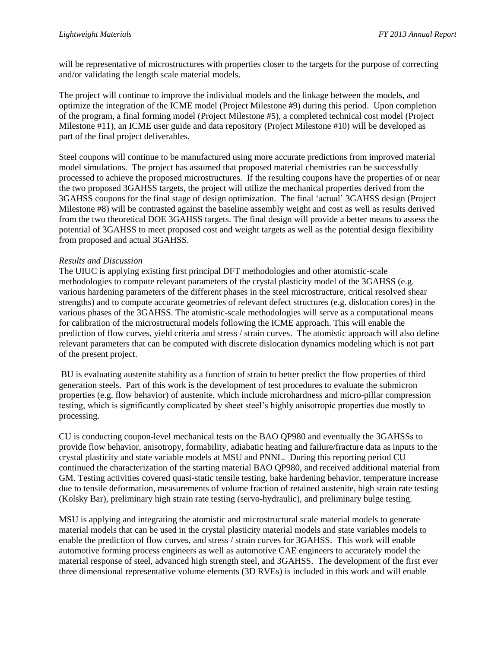will be representative of microstructures with properties closer to the targets for the purpose of correcting and/or validating the length scale material models.

The project will continue to improve the individual models and the linkage between the models, and optimize the integration of the ICME model (Project Milestone #9) during this period. Upon completion of the program, a final forming model (Project Milestone #5), a completed technical cost model (Project Milestone #11), an ICME user guide and data repository (Project Milestone #10) will be developed as part of the final project deliverables.

Steel coupons will continue to be manufactured using more accurate predictions from improved material model simulations. The project has assumed that proposed material chemistries can be successfully processed to achieve the proposed microstructures. If the resulting coupons have the properties of or near the two proposed 3GAHSS targets, the project will utilize the mechanical properties derived from the 3GAHSS coupons for the final stage of design optimization. The final 'actual' 3GAHSS design (Project Milestone #8) will be contrasted against the baseline assembly weight and cost as well as results derived from the two theoretical DOE 3GAHSS targets. The final design will provide a better means to assess the potential of 3GAHSS to meet proposed cost and weight targets as well as the potential design flexibility from proposed and actual 3GAHSS.

## *Results and Discussion*

The UIUC is applying existing first principal DFT methodologies and other atomistic-scale methodologies to compute relevant parameters of the crystal plasticity model of the 3GAHSS (e.g. various hardening parameters of the different phases in the steel microstructure, critical resolved shear strengths) and to compute accurate geometries of relevant defect structures (e.g. dislocation cores) in the various phases of the 3GAHSS. The atomistic-scale methodologies will serve as a computational means for calibration of the microstructural models following the ICME approach. This will enable the prediction of flow curves, yield criteria and stress / strain curves. The atomistic approach will also define relevant parameters that can be computed with discrete dislocation dynamics modeling which is not part of the present project.

BU is evaluating austenite stability as a function of strain to better predict the flow properties of third generation steels. Part of this work is the development of test procedures to evaluate the submicron properties (e.g. flow behavior) of austenite, which include microhardness and micro-pillar compression testing, which is significantly complicated by sheet steel's highly anisotropic properties due mostly to processing.

CU is conducting coupon-level mechanical tests on the BAO QP980 and eventually the 3GAHSSs to provide flow behavior, anisotropy, formability, adiabatic heating and failure/fracture data as inputs to the crystal plasticity and state variable models at MSU and PNNL. During this reporting period CU continued the characterization of the starting material BAO QP980, and received additional material from GM. Testing activities covered quasi-static tensile testing, bake hardening behavior, temperature increase due to tensile deformation, measurements of volume fraction of retained austenite, high strain rate testing (Kolsky Bar), preliminary high strain rate testing (servo-hydraulic), and preliminary bulge testing.

MSU is applying and integrating the atomistic and microstructural scale material models to generate material models that can be used in the crystal plasticity material models and state variables models to enable the prediction of flow curves, and stress / strain curves for 3GAHSS. This work will enable automotive forming process engineers as well as automotive CAE engineers to accurately model the material response of steel, advanced high strength steel, and 3GAHSS. The development of the first ever three dimensional representative volume elements (3D RVEs) is included in this work and will enable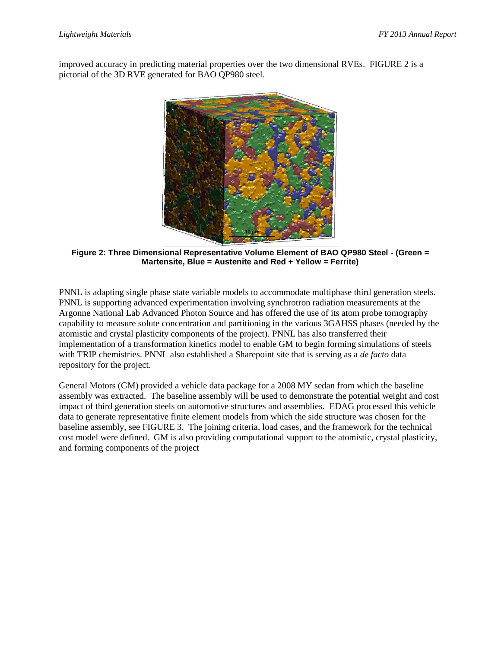improved accuracy in predicting material properties over the two dimensional RVEs. FIGURE 2 is a pictorial of the 3D RVE generated for BAO QP980 steel.



**Figure 2: Three Dimensional Representative Volume Element of BAO QP980 Steel - (Green = Martensite, Blue = Austenite and Red + Yellow = Ferrite)**

PNNL is adapting single phase state variable models to accommodate multiphase third generation steels. PNNL is supporting advanced experimentation involving synchrotron radiation measurements at the Argonne National Lab Advanced Photon Source and has offered the use of its atom probe tomography capability to measure solute concentration and partitioning in the various 3GAHSS phases (needed by the atomistic and crystal plasticity components of the project). PNNL has also transferred their implementation of a transformation kinetics model to enable GM to begin forming simulations of steels with TRIP chemistries. PNNL also established a Sharepoint site that is serving as a *de facto* data repository for the project.

General Motors (GM) provided a vehicle data package for a 2008 MY sedan from which the baseline assembly was extracted. The baseline assembly will be used to demonstrate the potential weight and cost impact of third generation steels on automotive structures and assemblies. EDAG processed this vehicle data to generate representative finite element models from which the side structure was chosen for the baseline assembly, see FIGURE 3. The joining criteria, load cases, and the framework for the technical cost model were defined. GM is also providing computational support to the atomistic, crystal plasticity, and forming components of the project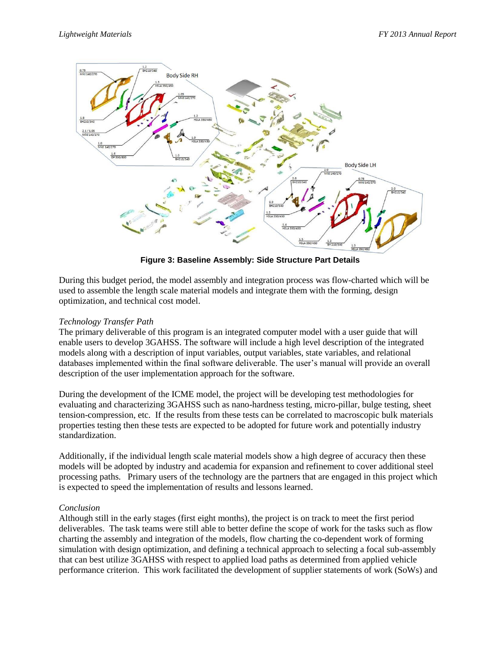

**Figure 3: Baseline Assembly: Side Structure Part Details**

During this budget period, the model assembly and integration process was flow-charted which will be used to assemble the length scale material models and integrate them with the forming, design optimization, and technical cost model.

# *Technology Transfer Path*

The primary deliverable of this program is an integrated computer model with a user guide that will enable users to develop 3GAHSS. The software will include a high level description of the integrated models along with a description of input variables, output variables, state variables, and relational databases implemented within the final software deliverable. The user's manual will provide an overall description of the user implementation approach for the software.

During the development of the ICME model, the project will be developing test methodologies for evaluating and characterizing 3GAHSS such as nano-hardness testing, micro-pillar, bulge testing, sheet tension-compression, etc. If the results from these tests can be correlated to macroscopic bulk materials properties testing then these tests are expected to be adopted for future work and potentially industry standardization.

Additionally, if the individual length scale material models show a high degree of accuracy then these models will be adopted by industry and academia for expansion and refinement to cover additional steel processing paths. Primary users of the technology are the partners that are engaged in this project which is expected to speed the implementation of results and lessons learned.

## *Conclusion*

Although still in the early stages (first eight months), the project is on track to meet the first period deliverables. The task teams were still able to better define the scope of work for the tasks such as flow charting the assembly and integration of the models, flow charting the co-dependent work of forming simulation with design optimization, and defining a technical approach to selecting a focal sub-assembly that can best utilize 3GAHSS with respect to applied load paths as determined from applied vehicle performance criterion. This work facilitated the development of supplier statements of work (SoWs) and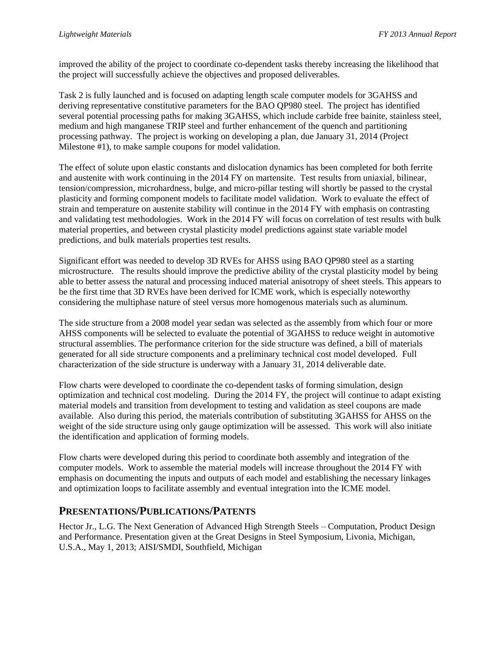improved the ability of the project to coordinate co-dependent tasks thereby increasing the likelihood that the project will successfully achieve the objectives and proposed deliverables.

Task 2 is fully launched and is focused on adapting length scale computer models for 3GAHSS and deriving representative constitutive parameters for the BAO QP980 steel. The project has identified several potential processing paths for making 3GAHSS, which include carbide free bainite, stainless steel, medium and high manganese TRIP steel and further enhancement of the quench and partitioning processing pathway. The project is working on developing a plan, due January 31, 2014 (Project Milestone #1), to make sample coupons for model validation.

The effect of solute upon elastic constants and dislocation dynamics has been completed for both ferrite and austenite with work continuing in the 2014 FY on martensite. Test results from uniaxial, bilinear, tension/compression, microhardness, bulge, and micro-pillar testing will shortly be passed to the crystal plasticity and forming component models to facilitate model validation. Work to evaluate the effect of strain and temperature on austenite stability will continue in the 2014 FY with emphasis on contrasting and validating test methodologies. Work in the 2014 FY will focus on correlation of test results with bulk material properties, and between crystal plasticity model predictions against state variable model predictions, and bulk materials properties test results.

Significant effort was needed to develop 3D RVEs for AHSS using BAO QP980 steel as a starting microstructure. The results should improve the predictive ability of the crystal plasticity model by being able to better assess the natural and processing induced material anisotropy of sheet steels. This appears to be the first time that 3D RVEs have been derived for ICME work, which is especially noteworthy considering the multiphase nature of steel versus more homogenous materials such as aluminum.

The side structure from a 2008 model year sedan was selected as the assembly from which four or more AHSS components will be selected to evaluate the potential of 3GAHSS to reduce weight in automotive structural assemblies. The performance criterion for the side structure was defined, a bill of materials generated for all side structure components and a preliminary technical cost model developed. Full characterization of the side structure is underway with a January 31, 2014 deliverable date.

Flow charts were developed to coordinate the co-dependent tasks of forming simulation, design optimization and technical cost modeling. During the 2014 FY, the project will continue to adapt existing material models and transition from development to testing and validation as steel coupons are made available. Also during this period, the materials contribution of substituting 3GAHSS for AHSS on the weight of the side structure using only gauge optimization will be assessed. This work will also initiate the identification and application of forming models.

Flow charts were developed during this period to coordinate both assembly and integration of the computer models. Work to assemble the material models will increase throughout the 2014 FY with emphasis on documenting the inputs and outputs of each model and establishing the necessary linkages and optimization loops to facilitate assembly and eventual integration into the ICME model.

# **PRESENTATIONS/PUBLICATIONS/PATENTS**

Hector Jr., L.G. The Next Generation of Advanced High Strength Steels – Computation, Product Design and Performance. Presentation given at the Great Designs in Steel Symposium, Livonia, Michigan, U.S.A., May 1, 2013; AISI/SMDI, Southfield, Michigan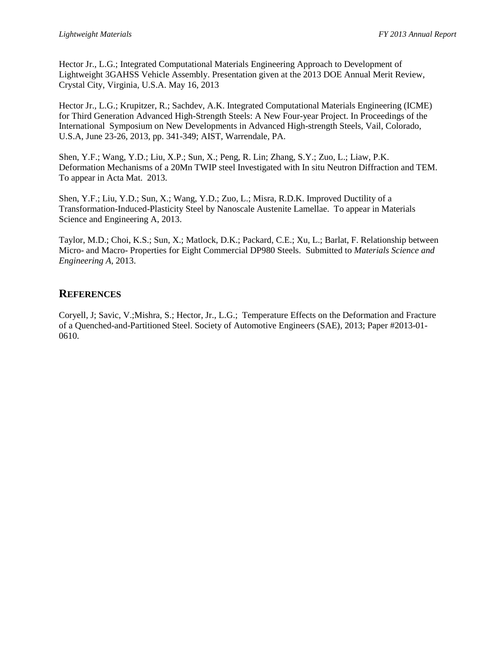Hector Jr., L.G.; Integrated Computational Materials Engineering Approach to Development of Lightweight 3GAHSS Vehicle Assembly. Presentation given at the 2013 DOE Annual Merit Review, Crystal City, Virginia, U.S.A. May 16, 2013

Hector Jr., L.G.; Krupitzer, R.; Sachdev, A.K. Integrated Computational Materials Engineering (ICME) for Third Generation Advanced High-Strength Steels: A New Four-year Project. In Proceedings of the International Symposium on New Developments in Advanced High-strength Steels, Vail, Colorado, U.S.A, June 23-26, 2013, pp. 341-349; AIST, Warrendale, PA.

Shen, Y.F.; Wang, Y.D.; Liu, X.P.; Sun, X.; Peng, R. Lin; Zhang, S.Y.; Zuo, L.; Liaw, P.K. Deformation Mechanisms of a 20Mn TWIP steel Investigated with In situ Neutron Diffraction and TEM. To appear in Acta Mat. 2013.

Shen, Y.F.; Liu, Y.D.; Sun, X.; Wang, Y.D.; Zuo, L.; Misra, R.D.K. Improved Ductility of a Transformation-Induced-Plasticity Steel by Nanoscale Austenite Lamellae. To appear in Materials Science and Engineering A, 2013.

Taylor, M.D.; Choi, K.S.; Sun, X.; Matlock, D.K.; Packard, C.E.; Xu, L.; Barlat, F. Relationship between Micro- and Macro- Properties for Eight Commercial DP980 Steels. Submitted to *Materials Science and Engineering A*, 2013.

# **REFERENCES**

Coryell, J; Savic, V.;Mishra, S.; Hector, Jr., L.G.; Temperature Effects on the Deformation and Fracture of a Quenched-and-Partitioned Steel. Society of Automotive Engineers (SAE), 2013; Paper #2013-01- 0610.